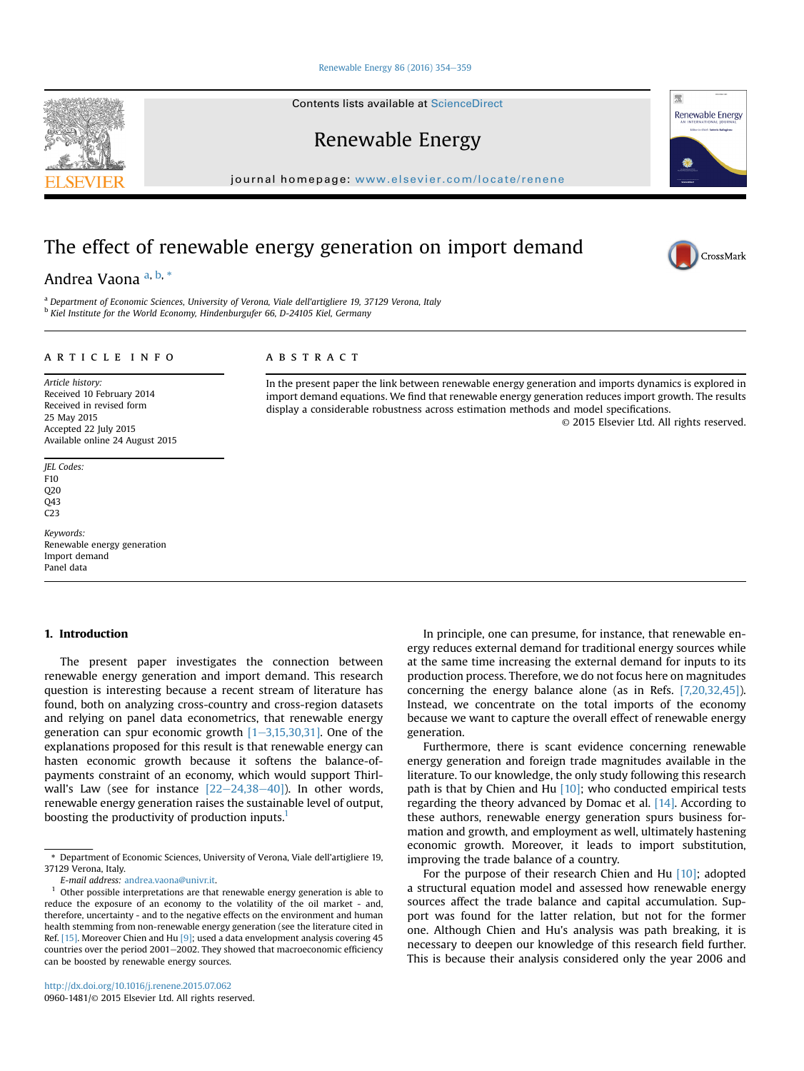#### [Renewable Energy 86 \(2016\) 354](http://dx.doi.org/10.1016/j.renene.2015.07.062)-[359](http://dx.doi.org/10.1016/j.renene.2015.07.062)

Contents lists available at ScienceDirect

Renewable Energy

journal homepage: [www.elsevier.com/locate/renene](http://www.elsevier.com/locate/renene)

# The effect of renewable energy generation on import demand

# Andrea Vaona<sup>a, b,\*</sup>

<sup>a</sup> Department of Economic Sciences, University of Verona, Viale dell'artigliere 19, 37129 Verona, Italy <sup>b</sup> Kiel Institute for the World Economy, Hindenburgufer 66, D-24105 Kiel, Germany

## article info

#### ABSTRACT

Article history: Received 10 February 2014 Received in revised form 25 May 2015 Accepted 22 July 2015 Available online 24 August 2015

JEL Codes: F10  $O<sub>20</sub>$ Q43 C23

Keywords: Renewable energy generation Import demand Panel data

# 1. Introduction

The present paper investigates the connection between renewable energy generation and import demand. This research question is interesting because a recent stream of literature has found, both on analyzing cross-country and cross-region datasets and relying on panel data econometrics, that renewable energy generation can spur economic growth  $[1-3,15,30,31]$ . One of the explanations proposed for this result is that renewable energy can hasten economic growth because it softens the balance-ofpayments constraint of an economy, which would support Thirlwall's Law (see for instance  $[22-24,38-40]$ ). In other words, renewable energy generation raises the sustainable level of output, boosting the productivity of production inputs.<sup>1</sup>

E-mail address: [andrea.vaona@univr.it](mailto:andrea.vaona@univr.it).

import demand equations. We find that renewable energy generation reduces import growth. The results display a considerable robustness across estimation methods and model specifications. © 2015 Elsevier Ltd. All rights reserved.

In the present paper the link between renewable energy generation and imports dynamics is explored in

In principle, one can presume, for instance, that renewable energy reduces external demand for traditional energy sources while at the same time increasing the external demand for inputs to its production process. Therefore, we do not focus here on magnitudes concerning the energy balance alone (as in Refs. [7,20,32,45]). Instead, we concentrate on the total imports of the economy because we want to capture the overall effect of renewable energy generation.

Furthermore, there is scant evidence concerning renewable energy generation and foreign trade magnitudes available in the literature. To our knowledge, the only study following this research path is that by Chien and Hu  $[10]$ ; who conducted empirical tests regarding the theory advanced by Domac et al. [14]. According to these authors, renewable energy generation spurs business formation and growth, and employment as well, ultimately hastening economic growth. Moreover, it leads to import substitution, improving the trade balance of a country.

For the purpose of their research Chien and Hu [10]; adopted a structural equation model and assessed how renewable energy sources affect the trade balance and capital accumulation. Support was found for the latter relation, but not for the former one. Although Chien and Hu's analysis was path breaking, it is necessary to deepen our knowledge of this research field further. This is because their analysis considered only the year 2006 and







<sup>\*</sup> Department of Economic Sciences, University of Verona, Viale dell'artigliere 19, 37129 Verona, Italy.

<sup>1</sup> Other possible interpretations are that renewable energy generation is able to reduce the exposure of an economy to the volatility of the oil market - and, therefore, uncertainty - and to the negative effects on the environment and human health stemming from non-renewable energy generation (see the literature cited in Ref. [15]. Moreover Chien and Hu [9]; used a data envelopment analysis covering 45 countries over the period  $2001-2002$ . They showed that macroeconomic efficiency can be boosted by renewable energy sources.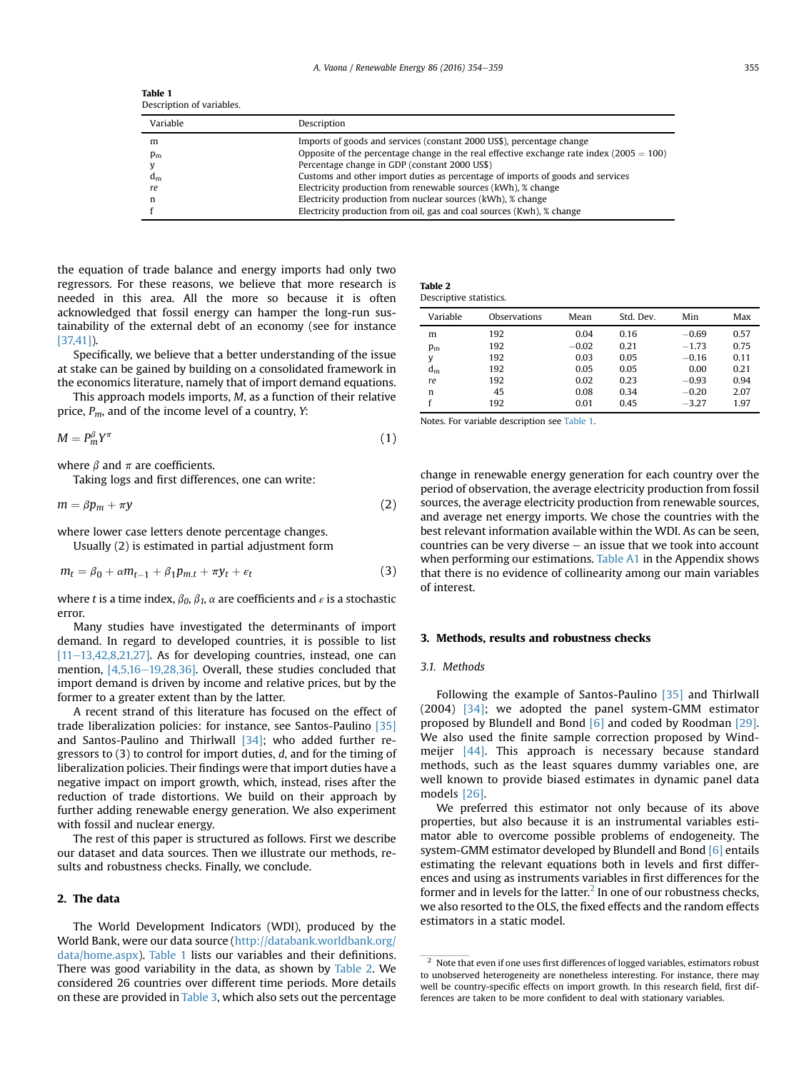| <b>Table 1</b>            |  |
|---------------------------|--|
| Description of variables. |  |

| Variable | Description                                                                                |
|----------|--------------------------------------------------------------------------------------------|
| m        | Imports of goods and services (constant 2000 US\$), percentage change                      |
| $p_m$    | Opposite of the percentage change in the real effective exchange rate index $(2005 = 100)$ |
|          | Percentage change in GDP (constant 2000 US\$)                                              |
| $d_m$    | Customs and other import duties as percentage of imports of goods and services             |
| re       | Electricity production from renewable sources (kWh), % change                              |
| n        | Electricity production from nuclear sources (kWh), % change                                |
|          | Electricity production from oil, gas and coal sources (Kwh), % change                      |

the equation of trade balance and energy imports had only two regressors. For these reasons, we believe that more research is needed in this area. All the more so because it is often acknowledged that fossil energy can hamper the long-run sustainability of the external debt of an economy (see for instance [37,41]).

Specifically, we believe that a better understanding of the issue at stake can be gained by building on a consolidated framework in the economics literature, namely that of import demand equations.

This approach models imports, M, as a function of their relative price,  $P_m$ , and of the income level of a country, Y:

$$
M = P_m^{\beta} Y^{\pi} \tag{1}
$$

where  $\beta$  and  $\pi$  are coefficients.

Taking logs and first differences, one can write:

$$
m = \beta p_m + \pi y \tag{2}
$$

where lower case letters denote percentage changes.

Usually (2) is estimated in partial adjustment form

$$
m_t = \beta_0 + \alpha m_{t-1} + \beta_1 p_{m,t} + \pi y_t + \varepsilon_t \tag{3}
$$

where t is a time index,  $\beta_0$ ,  $\beta_1$ ,  $\alpha$  are coefficients and  $\varepsilon$  is a stochastic error.

Many studies have investigated the determinants of import demand. In regard to developed countries, it is possible to list  $[11–13,42,8,21,27]$ . As for developing countries, instead, one can mention,  $[4,5,16-19,28,36]$ . Overall, these studies concluded that import demand is driven by income and relative prices, but by the former to a greater extent than by the latter.

A recent strand of this literature has focused on the effect of trade liberalization policies: for instance, see Santos-Paulino [35] and Santos-Paulino and Thirlwall [34]; who added further regressors to (3) to control for import duties, d, and for the timing of liberalization policies. Their findings were that import duties have a negative impact on import growth, which, instead, rises after the reduction of trade distortions. We build on their approach by further adding renewable energy generation. We also experiment with fossil and nuclear energy.

The rest of this paper is structured as follows. First we describe our dataset and data sources. Then we illustrate our methods, results and robustness checks. Finally, we conclude.

## 2. The data

The World Development Indicators (WDI), produced by the World Bank, were our data source [\(http://databank.worldbank.org/](http://databank.worldbank.org/data/home.aspx) [data/home.aspx\)](http://databank.worldbank.org/data/home.aspx). Table 1 lists our variables and their definitions. There was good variability in the data, as shown by Table 2. We considered 26 countries over different time periods. More details on these are provided in Table 3, which also sets out the percentage

| Table 2                 |  |
|-------------------------|--|
| Descriptive statistics. |  |

| Variable | Observations | Mean    | Std. Dev. | Min     | Max  |
|----------|--------------|---------|-----------|---------|------|
| m        | 192          | 0.04    | 0.16      | $-0.69$ | 0.57 |
| $p_m$    | 192          | $-0.02$ | 0.21      | $-1.73$ | 0.75 |
| у        | 192          | 0.03    | 0.05      | $-0.16$ | 0.11 |
| $d_m$    | 192          | 0.05    | 0.05      | 0.00    | 0.21 |
| re       | 192          | 0.02    | 0.23      | $-0.93$ | 0.94 |
| n        | 45           | 0.08    | 0.34      | $-0.20$ | 2.07 |
|          | 192          | 0.01    | 0.45      | $-3.27$ | 1.97 |

Notes. For variable description see Table 1.

change in renewable energy generation for each country over the period of observation, the average electricity production from fossil sources, the average electricity production from renewable sources, and average net energy imports. We chose the countries with the best relevant information available within the WDI. As can be seen, countries can be very diverse  $-$  an issue that we took into account when performing our estimations. Table A1 in the Appendix shows that there is no evidence of collinearity among our main variables of interest.

### 3. Methods, results and robustness checks

### 3.1. Methods

Following the example of Santos-Paulino [35] and Thirlwall (2004) [34]; we adopted the panel system-GMM estimator proposed by Blundell and Bond [6] and coded by Roodman [29]. We also used the finite sample correction proposed by Windmeijer [44]. This approach is necessary because standard methods, such as the least squares dummy variables one, are well known to provide biased estimates in dynamic panel data models [26].

We preferred this estimator not only because of its above properties, but also because it is an instrumental variables estimator able to overcome possible problems of endogeneity. The system-GMM estimator developed by Blundell and Bond [6] entails estimating the relevant equations both in levels and first differences and using as instruments variables in first differences for the former and in levels for the latter.<sup>2</sup> In one of our robustness checks, we also resorted to the OLS, the fixed effects and the random effects estimators in a static model.

 $\frac{2}{3}$  Note that even if one uses first differences of logged variables, estimators robust to unobserved heterogeneity are nonetheless interesting. For instance, there may well be country-specific effects on import growth. In this research field, first differences are taken to be more confident to deal with stationary variables.